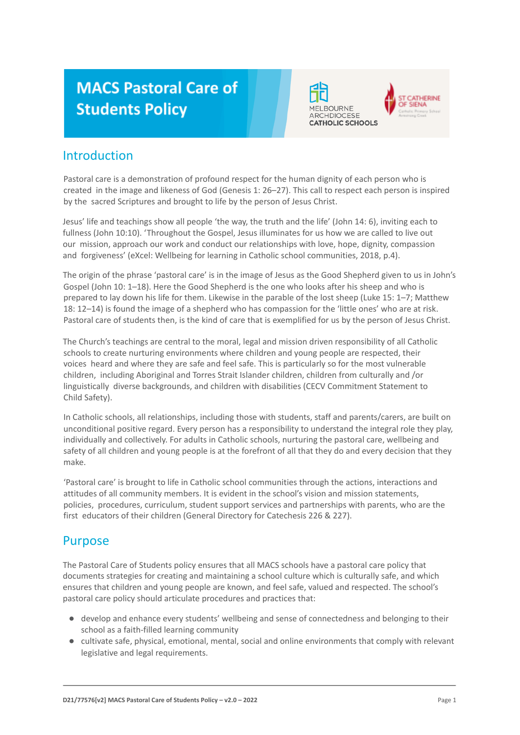# **MACS Pastoral Care of Students Policy**



CATHERINE

## Introduction

Pastoral care is a demonstration of profound respect for the human dignity of each person who is created in the image and likeness of God (Genesis 1: 26–27). This call to respect each person is inspired by the sacred Scriptures and brought to life by the person of Jesus Christ.

Jesus' life and teachings show all people 'the way, the truth and the life' (John 14: 6), inviting each to fullness (John 10:10). 'Throughout the Gospel, Jesus illuminates for us how we are called to live out our mission, approach our work and conduct our relationships with love, hope, dignity, compassion and forgiveness' (eXcel: Wellbeing for learning in Catholic school communities, 2018, p.4).

The origin of the phrase 'pastoral care' is in the image of Jesus as the Good Shepherd given to us in John's Gospel (John 10: 1–18). Here the Good Shepherd is the one who looks after his sheep and who is prepared to lay down his life for them. Likewise in the parable of the lost sheep (Luke 15: 1–7; Matthew 18: 12–14) is found the image of a shepherd who has compassion for the 'little ones' who are at risk. Pastoral care of students then, is the kind of care that is exemplified for us by the person of Jesus Christ.

The Church's teachings are central to the moral, legal and mission driven responsibility of all Catholic schools to create nurturing environments where children and young people are respected, their voices heard and where they are safe and feel safe. This is particularly so for the most vulnerable children, including Aboriginal and Torres Strait Islander children, children from culturally and /or linguistically diverse backgrounds, and children with disabilities (CECV Commitment Statement to Child Safety).

In Catholic schools, all relationships, including those with students, staff and parents/carers, are built on unconditional positive regard. Every person has a responsibility to understand the integral role they play, individually and collectively. For adults in Catholic schools, nurturing the pastoral care, wellbeing and safety of all children and young people is at the forefront of all that they do and every decision that they make.

'Pastoral care' is brought to life in Catholic school communities through the actions, interactions and attitudes of all community members. It is evident in the school's vision and mission statements, policies, procedures, curriculum, student support services and partnerships with parents, who are the first educators of their children (General Directory for Catechesis 226 & 227).

### Purpose

The Pastoral Care of Students policy ensures that all MACS schools have a pastoral care policy that documents strategies for creating and maintaining a school culture which is culturally safe, and which ensures that children and young people are known, and feel safe, valued and respected. The school's pastoral care policy should articulate procedures and practices that:

- develop and enhance every students' wellbeing and sense of connectedness and belonging to their school as a faith-filled learning community
- cultivate safe, physical, emotional, mental, social and online environments that comply with relevant legislative and legal requirements.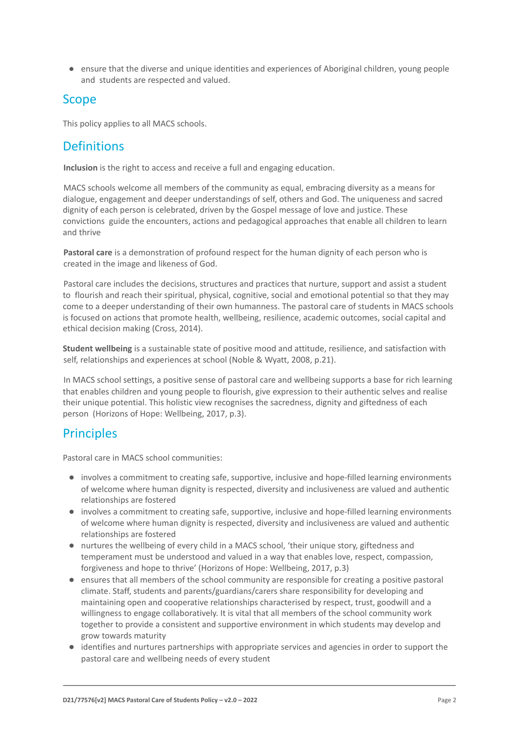● ensure that the diverse and unique identities and experiences of Aboriginal children, young people and students are respected and valued.

# Scope

This policy applies to all MACS schools.

# **Definitions**

**Inclusion** is the right to access and receive a full and engaging education.

MACS schools welcome all members of the community as equal, embracing diversity as a means for dialogue, engagement and deeper understandings of self, others and God. The uniqueness and sacred dignity of each person is celebrated, driven by the Gospel message of love and justice. These convictions guide the encounters, actions and pedagogical approaches that enable all children to learn and thrive

**Pastoral care** is a demonstration of profound respect for the human dignity of each person who is created in the image and likeness of God.

Pastoral care includes the decisions, structures and practices that nurture, support and assist a student to flourish and reach their spiritual, physical, cognitive, social and emotional potential so that they may come to a deeper understanding of their own humanness. The pastoral care of students in MACS schools is focused on actions that promote health, wellbeing, resilience, academic outcomes, social capital and ethical decision making (Cross, 2014).

**Student wellbeing** is a sustainable state of positive mood and attitude, resilience, and satisfaction with self, relationships and experiences at school (Noble & Wyatt, 2008, p.21).

In MACS school settings, a positive sense of pastoral care and wellbeing supports a base for rich learning that enables children and young people to flourish, give expression to their authentic selves and realise their unique potential. This holistic view recognises the sacredness, dignity and giftedness of each person (Horizons of Hope: Wellbeing, 2017, p.3).

# **Principles**

Pastoral care in MACS school communities:

- involves a commitment to creating safe, supportive, inclusive and hope-filled learning environments of welcome where human dignity is respected, diversity and inclusiveness are valued and authentic relationships are fostered
- involves a commitment to creating safe, supportive, inclusive and hope-filled learning environments of welcome where human dignity is respected, diversity and inclusiveness are valued and authentic relationships are fostered
- nurtures the wellbeing of every child in a MACS school, 'their unique story, giftedness and temperament must be understood and valued in a way that enables love, respect, compassion, forgiveness and hope to thrive' (Horizons of Hope: Wellbeing, 2017, p.3)
- ensures that all members of the school community are responsible for creating a positive pastoral climate. Staff, students and parents/guardians/carers share responsibility for developing and maintaining open and cooperative relationships characterised by respect, trust, goodwill and a willingness to engage collaboratively. It is vital that all members of the school community work together to provide a consistent and supportive environment in which students may develop and grow towards maturity
- identifies and nurtures partnerships with appropriate services and agencies in order to support the pastoral care and wellbeing needs of every student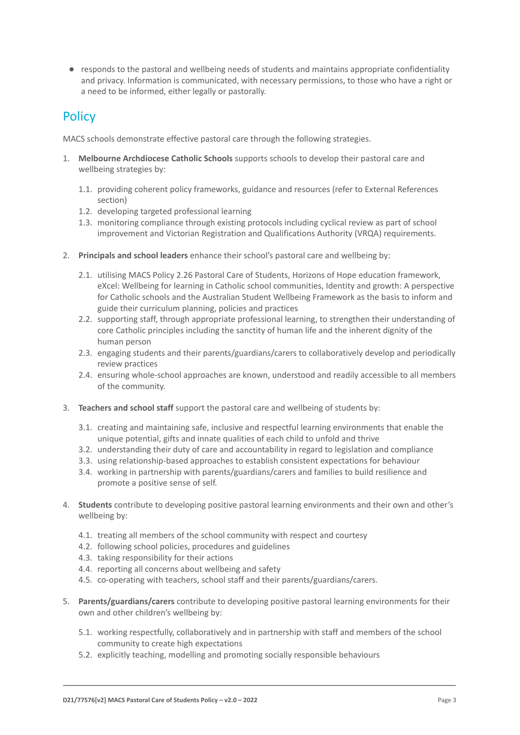● responds to the pastoral and wellbeing needs of students and maintains appropriate confidentiality and privacy. Information is communicated, with necessary permissions, to those who have a right or a need to be informed, either legally or pastorally.

# **Policy**

MACS schools demonstrate effective pastoral care through the following strategies.

- 1. **Melbourne Archdiocese Catholic Schools** supports schools to develop their pastoral care and wellbeing strategies by:
	- 1.1. providing coherent policy frameworks, guidance and resources (refer to External References section)
	- 1.2. developing targeted professional learning
	- 1.3. monitoring compliance through existing protocols including cyclical review as part of school improvement and Victorian Registration and Qualifications Authority (VRQA) requirements.
- 2. **Principals and school leaders** enhance their school's pastoral care and wellbeing by:
	- 2.1. utilising MACS Policy 2.26 Pastoral Care of Students, Horizons of Hope education framework, eXcel: Wellbeing for learning in Catholic school communities, Identity and growth: A perspective for Catholic schools and the Australian Student Wellbeing Framework as the basis to inform and guide their curriculum planning, policies and practices
	- 2.2. supporting staff, through appropriate professional learning, to strengthen their understanding of core Catholic principles including the sanctity of human life and the inherent dignity of the human person
	- 2.3. engaging students and their parents/guardians/carers to collaboratively develop and periodically review practices
	- 2.4. ensuring whole-school approaches are known, understood and readily accessible to all members of the community.
- 3. **Teachers and school staff** support the pastoral care and wellbeing of students by:
	- 3.1. creating and maintaining safe, inclusive and respectful learning environments that enable the unique potential, gifts and innate qualities of each child to unfold and thrive
	- 3.2. understanding their duty of care and accountability in regard to legislation and compliance
	- 3.3. using relationship-based approaches to establish consistent expectations for behaviour
	- 3.4. working in partnership with parents/guardians/carers and families to build resilience and promote a positive sense of self.
- 4. **Students** contribute to developing positive pastoral learning environments and their own and other's wellbeing by:
	- 4.1. treating all members of the school community with respect and courtesy
	- 4.2. following school policies, procedures and guidelines
	- 4.3. taking responsibility for their actions
	- 4.4. reporting all concerns about wellbeing and safety
	- 4.5. co-operating with teachers, school staff and their parents/guardians/carers.
- 5. **Parents/guardians/carers** contribute to developing positive pastoral learning environments for their own and other children's wellbeing by:
	- 5.1. working respectfully, collaboratively and in partnership with staff and members of the school community to create high expectations
	- 5.2. explicitly teaching, modelling and promoting socially responsible behaviours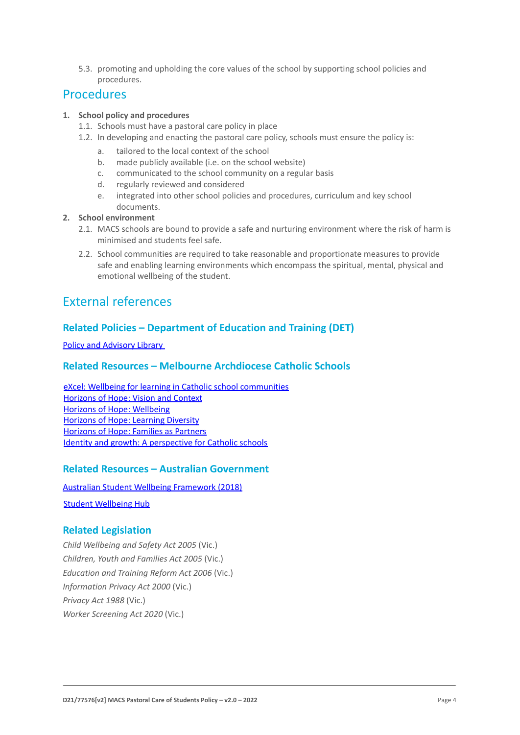5.3. promoting and upholding the core values of the school by supporting school policies and procedures.

### Procedures

#### **1. School policy and procedures**

- 1.1. Schools must have a pastoral care policy in place
- 1.2. In developing and enacting the pastoral care policy, schools must ensure the policy is:
	- a. tailored to the local context of the school
	- b. made publicly available (i.e. on the school website)
	- c. communicated to the school community on a regular basis
	- d. regularly reviewed and considered
	- e. integrated into other school policies and procedures, curriculum and key school documents.

#### **2. School environment**

- 2.1. MACS schools are bound to provide a safe and nurturing environment where the risk of harm is minimised and students feel safe.
- 2.2. School communities are required to take reasonable and proportionate measures to provide safe and enabling learning environments which encompass the spiritual, mental, physical and emotional wellbeing of the student.

# External references

### **Related Policies – Department of Education and Training (DET)**

Policy and Advisory Library

### **Related Resources – Melbourne Archdiocese Catholic Schools**

eXcel: Wellbeing for learning in Catholic school communities Horizons of Hope: Vision and Context Horizons of Hope: Wellbeing Horizons of Hope: Learning Diversity Horizons of Hope: Families as Partners Identity and growth: A perspective for Catholic schools

### **Related Resources – Australian Government**

Australian Student Wellbeing Framework (2018)

Student Wellbeing Hub

### **Related Legislation**

*Child Wellbeing and Safety Act 2005* (Vic.) *Children, Youth and Families Act 2005* (Vic.) *Education and Training Reform Act 2006* (Vic.) *Information Privacy Act 2000* (Vic.) *Privacy Act 1988* (Vic.) *Worker Screening Act 2020* (Vic.)